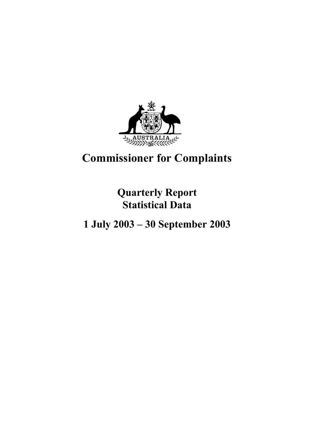

# **Commissioner for Complaints**

**Quarterly Report Statistical Data**

**1 July 2003 – 30 September 2003**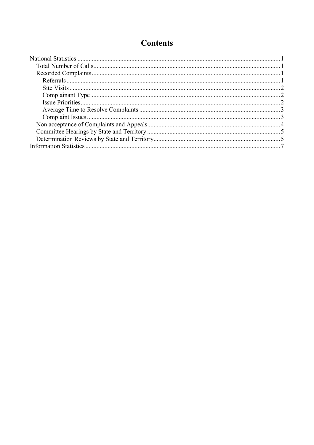# **Contents**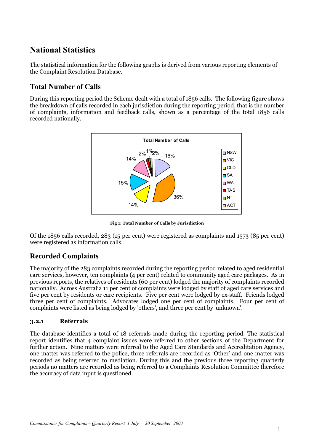# **National Statistics**

The statistical information for the following graphs is derived from various reporting elements of the Complaint Resolution Database.

## **Total Number of Calls**

During this reporting period the Scheme dealt with a total of 1856 calls. The following figure shows the breakdown of calls recorded in each jurisdiction during the reporting period, that is the number of complaints, information and feedback calls, shown as a percentage of the total 1856 calls recorded nationally.



**Fig 1: Total Number of Calls by Jurisdiction**

Of the 1856 calls recorded, 283 (15 per cent) were registered as complaints and 1573 (85 per cent) were registered as information calls.

### **Recorded Complaints**

The majority of the 283 complaints recorded during the reporting period related to aged residential care services, however, ten complaints (4 per cent) related to community aged care packages. As in previous reports, the relatives of residents (60 per cent) lodged the majority of complaints recorded nationally. Across Australia 11 per cent of complaints were lodged by staff of aged care services and five per cent by residents or care recipients. Five per cent were lodged by ex-staff. Friends lodged three per cent of complaints. Advocates lodged one per cent of complaints. Four per cent of complaints were listed as being lodged by 'others', and three per cent by 'unknown'.

#### **3.2.1 Referrals**

The database identifies a total of 18 referrals made during the reporting period. The statistical report identifies that 4 complaint issues were referred to other sections of the Department for further action. Nine matters were referred to the Aged Care Standards and Accreditation Agency, one matter was referred to the police, three referrals are recorded as 'Other' and one matter was recorded as being referred to mediation. During this and the previous three reporting quarterly periods no matters are recorded as being referred to a Complaints Resolution Committee therefore the accuracy of data input is questioned.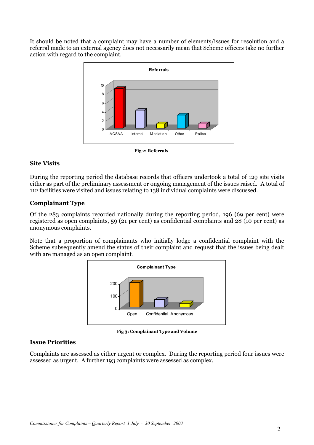It should be noted that a complaint may have a number of elements/issues for resolution and a referral made to an external agency does not necessarily mean that Scheme officers take no further action with regard to the complaint.



**Fig 2: Referrals**

#### **Site Visits**

During the reporting period the database records that officers undertook a total of 129 site visits either as part of the preliminary assessment or ongoing management of the issues raised.A total of 112 facilities were visited and issues relating to 138 individual complaints were discussed.

#### **Complainant Type**

Of the 283 complaints recorded nationally during the reporting period, 196 (69 per cent) were registered as open complaints, 59 (21 per cent) as confidential complaints and 28 (10 per cent) as anonymous complaints.

Note that a proportion of complainants who initially lodge a confidential complaint with the Scheme subsequently amend the status of their complaint and request that the issues being dealt with are managed as an open complaint.



**Fig 3: Complainant Type and Volume**

#### **Issue Priorities**

Complaints are assessed as either urgent or complex. During the reporting period four issues were assessed as urgent. A further 193 complaints were assessed as complex.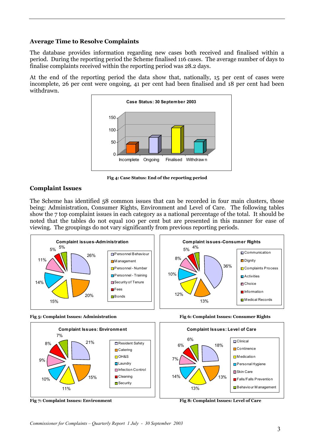#### **Average Time to Resolve Complaints**

The database provides information regarding new cases both received and finalised within a period. During the reporting period the Scheme finalised 116 cases. The average number of days to finalise complaints received within the reporting period was 28.2 days.

At the end of the reporting period the data show that, nationally, 15 per cent of cases were incomplete, 26 per cent were ongoing, 41 per cent had been finalised and 18 per cent had been withdrawn.



**Fig 4: Case Status: End of the reporting period**

#### **Complaint Issues**

The Scheme has identified 58 common issues that can be recorded in four main clusters, those being: Administration, Consumer Rights, Environment and Level of Care. The following tables show the 7 top complaint issues in each category as a national percentage of the total. It should be noted that the tables do not equal 100 per cent but are presented in this manner for ease of viewing. The groupings do not vary significantly from previous reporting periods.









**Fig 7: Complaint Issues: Environment Fig 8: Complaint Issues: Level of Care**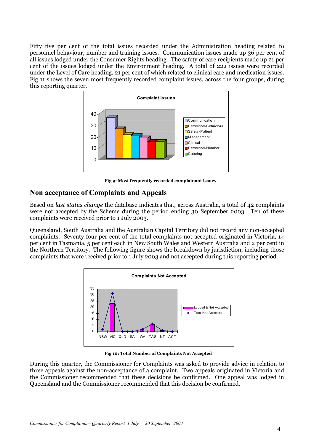Fifty five per cent of the total issues recorded under the Administration heading related to personnel behaviour, number and training issues. Communication issues made up 36 per cent of all issues lodged under the Consumer Rights heading. The safety of care recipients made up 21 per cent of the issues lodged under the Environment heading. A total of 222 issues were recorded under the Level of Care heading, 21 per cent of which related to clinical care and medication issues. Fig 11 shows the seven most frequently recorded complaint issues, across the four groups, during this reporting quarter.



**Fig 9: Most frequently recorded complainant issues**

### **Non acceptance of Complaints and Appeals**

Based on *last status change* the database indicates that, across Australia, a total of 42 complaints were not accepted by the Scheme during the period ending 30 September 2003. Ten of these complaints were received prior to 1 July 2003.

Queensland, South Australia and the Australian Capital Territory did not record any non-accepted complaints. Seventy-four per cent of the total complaints not accepted originated in Victoria, 14 per cent in Tasmania, 5 per cent each in New South Wales and Western Australia and 2 per cent in the Northern Territory. The following figure shows the breakdown by jurisdiction, including those complaints that were received prior to 1 July 2003 and not accepted during this reporting period.



**Fig 10: Total Number of Complaints Not Accepted**

During this quarter, the Commissioner for Complaints was asked to provide advice in relation to three appeals against the non-acceptance of a complaint. Two appeals originated in Victoria and the Commissioner recommended that these decisions be confirmed. One appeal was lodged in Queensland and the Commissioner recommended that this decision be confirmed.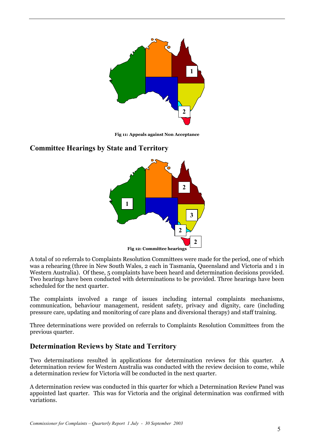

**Fig 11: Appeals against Non Acceptance**

## **Committee Hearings by State and Territory**



A total of 10 referrals to Complaints Resolution Committees were made for the period, one of which was a rehearing (three in New South Wales, 2 each in Tasmania, Queensland and Victoria and 1 in Western Australia). Of these, 5 complaints have been heard and determination decisions provided. Two hearings have been conducted with determinations to be provided. Three hearings have been scheduled for the next quarter.

The complaints involved a range of issues including internal complaints mechanisms, communication, behaviour management, resident safety, privacy and dignity, care (including pressure care, updating and monitoring of care plans and diversional therapy) and staff training.

Three determinations were provided on referrals to Complaints Resolution Committees from the previous quarter.

# **Determination Reviews by State and Territory**

Two determinations resulted in applications for determination reviews for this quarter. A determination review for Western Australia was conducted with the review decision to come, while a determination review for Victoria will be conducted in the next quarter.

A determination review was conducted in this quarter for which a Determination Review Panel was appointed last quarter. This was for Victoria and the original determination was confirmed with variations.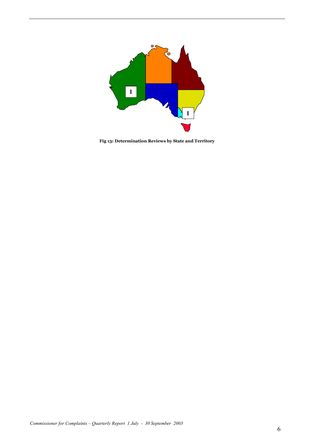

**Fig 13: Determination Reviews by State and Territory**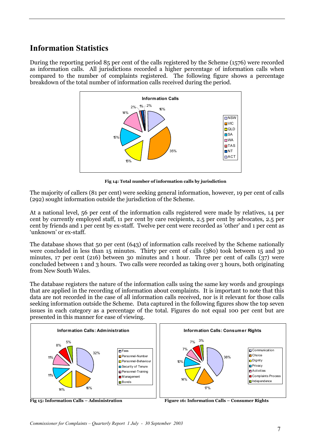# **Information Statistics**

During the reporting period 85 per cent of the calls registered by the Scheme (1576) were recorded as information calls. All jurisdictions recorded a higher percentage of information calls when compared to the number of complaints registered. The following figure shows a percentage breakdown of the total number of information calls received during the period.



**Fig 14: Total number of information calls by jurisdiction**

The majority of callers (81 per cent) were seeking general information, however, 19 per cent of calls (292) sought information outside the jurisdiction of the Scheme.

At a national level, 56 per cent of the information calls registered were made by relatives, 14 per cent by currently employed staff, 11 per cent by care recipients, 2.5 per cent by advocates, 2.5 per cent by friends and 1 per cent by ex-staff. Twelve per cent were recorded as 'other' and 1 per cent as 'unknown' or ex-staff.

The database shows that 50 per cent (643) of information calls received by the Scheme nationally were concluded in less than 15 minutes. Thirty per cent of calls (380) took between 15 and 30 minutes, 17 per cent (216) between 30 minutes and 1 hour. Three per cent of calls (37) were concluded between 1 and 3 hours. Two calls were recorded as taking over 3 hours, both originating from New South Wales.

The database registers the nature of the information calls using the same key words and groupings that are applied in the recording of information about complaints. It is important to note that this data are not recorded in the case of all information calls received, nor is it relevant for those calls seeking information outside the Scheme. Data captured in the following figures show the top seven issues in each category as a percentage of the total. Figures do not equal 100 per cent but are presented in this manner for ease of viewing.



Fig 15: Information Calls – Administration Figure 16: Information Calls – Consumer Rights